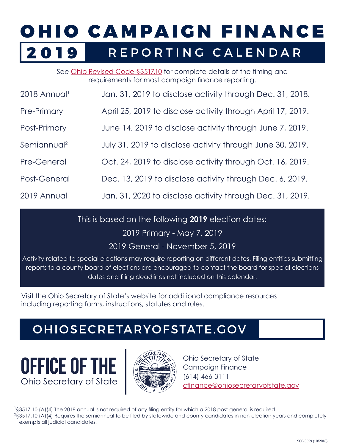## OHIO CAMPAIGN FINANCE 2019 REPORTING CALENDAR

See [Ohio Revised Code §3517.10](http://codes.ohio.gov/orc/3517.10) for complete details of the timing and requirements for most campaign finance reporting.

| 2018 Annual             | Jan. 31, 2019 to disclose activity through Dec. 31, 2018.   |
|-------------------------|-------------------------------------------------------------|
| Pre-Primary             | April 25, 2019 to disclose activity through April 17, 2019. |
| Post-Primary            | June 14, 2019 to disclose activity through June 7, 2019.    |
| Semiannual <sup>2</sup> | July 31, 2019 to disclose activity through June 30, 2019.   |
| <b>Pre-General</b>      | Oct. 24, 2019 to disclose activity through Oct. 16, 2019.   |
| Post-General            | Dec. 13, 2019 to disclose activity through Dec. 6, 2019.    |
| 2019 Annual             | Jan. 31, 2020 to disclose activity through Dec. 31, 2019.   |

This is based on the following **2019** election dates:

2019 Primary - May 7, 2019

2019 General - November 5, 2019

Activity related to special elections may require reporting on different dates. Filing entities submitting reports to a county board of elections are encouraged to contact the board for special elections dates and filing deadlines not included on this calendar.

Visit the Ohio Secretary of State's website for additional compliance resources including reporting forms, instructions, statutes and rules.

## [OHIOSECRETARYOFSTATE.GOV](http://www.ohiosecretaryofstate.gov)





Ohio Secretary of State Campaign Finance (614) 466-3111 [cfinance@ohiosecretaryofstate.gov](mailto:cfinance%40ohiosecretaryofstate.gov?subject=)

<sup>1</sup>§3517.10 (A)(4) The 2018 annual is not required of any filing entity for which a 2018 post-general is required.  $^{2}$ §3517.10 (A)(4) Requires the semiannual to be filed by statewide and county candidates in non-election years and completely exempts all judicial candidates.